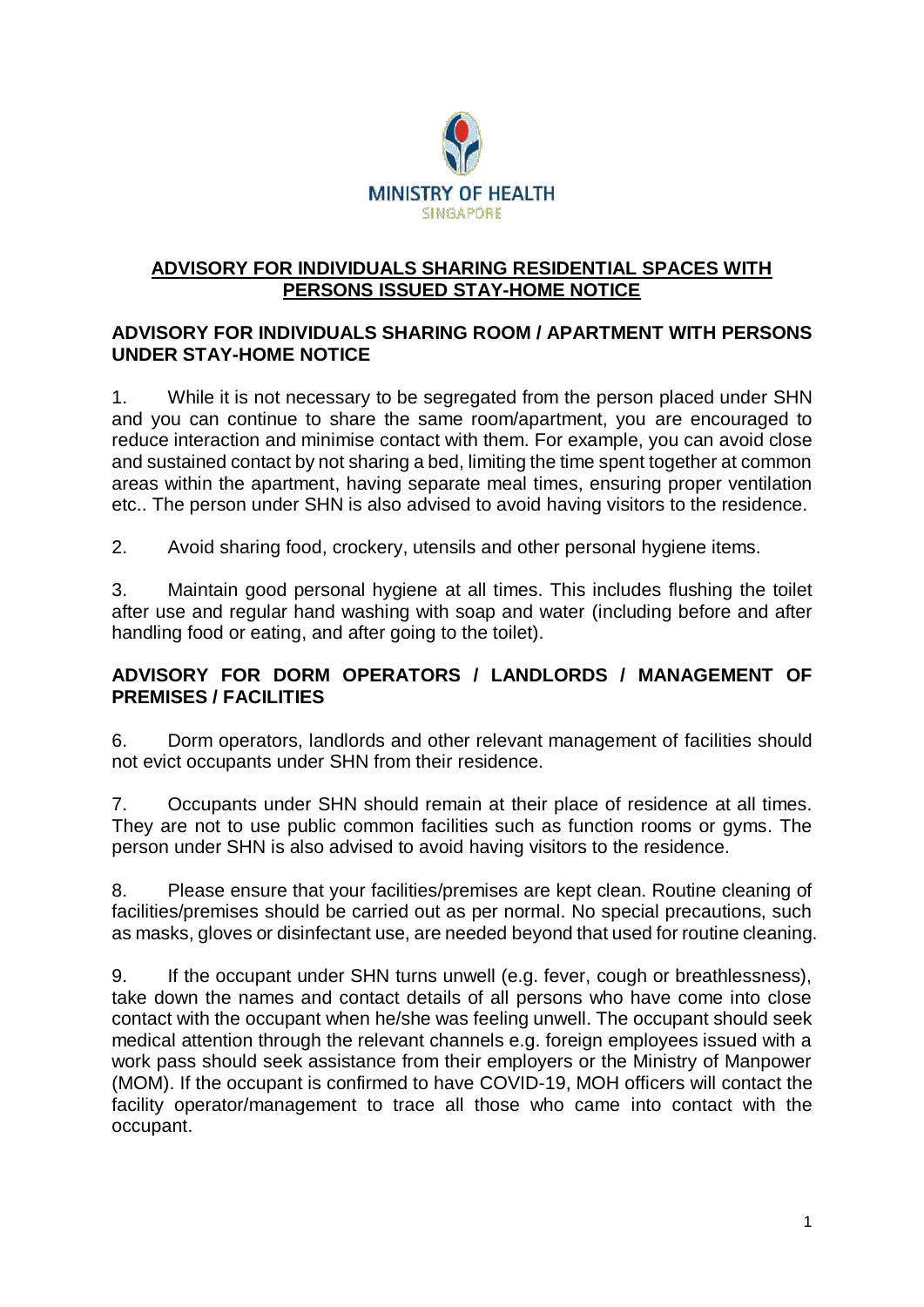

## **ADVISORY FOR INDIVIDUALS SHARING RESIDENTIAL SPACES WITH PERSONS ISSUED STAY-HOME NOTICE**

## **ADVISORY FOR INDIVIDUALS SHARING ROOM / APARTMENT WITH PERSONS UNDER STAY-HOME NOTICE**

1. While it is not necessary to be segregated from the person placed under SHN and you can continue to share the same room/apartment, you are encouraged to reduce interaction and minimise contact with them. For example, you can avoid close and sustained contact by not sharing a bed, limiting the time spent together at common areas within the apartment, having separate meal times, ensuring proper ventilation etc.. The person under SHN is also advised to avoid having visitors to the residence.

2. Avoid sharing food, crockery, utensils and other personal hygiene items.

3. Maintain good personal hygiene at all times. This includes flushing the toilet after use and regular hand washing with soap and water (including before and after handling food or eating, and after going to the toilet).

# **ADVISORY FOR DORM OPERATORS / LANDLORDS / MANAGEMENT OF PREMISES / FACILITIES**

6. Dorm operators, landlords and other relevant management of facilities should not evict occupants under SHN from their residence.

7. Occupants under SHN should remain at their place of residence at all times. They are not to use public common facilities such as function rooms or gyms. The person under SHN is also advised to avoid having visitors to the residence.

8. Please ensure that your facilities/premises are kept clean. Routine cleaning of facilities/premises should be carried out as per normal. No special precautions, such as masks, gloves or disinfectant use, are needed beyond that used for routine cleaning.

9. If the occupant under SHN turns unwell (e.g. fever, cough or breathlessness), take down the names and contact details of all persons who have come into close contact with the occupant when he/she was feeling unwell. The occupant should seek medical attention through the relevant channels e.g. foreign employees issued with a work pass should seek assistance from their employers or the Ministry of Manpower (MOM). If the occupant is confirmed to have COVID-19, MOH officers will contact the facility operator/management to trace all those who came into contact with the occupant.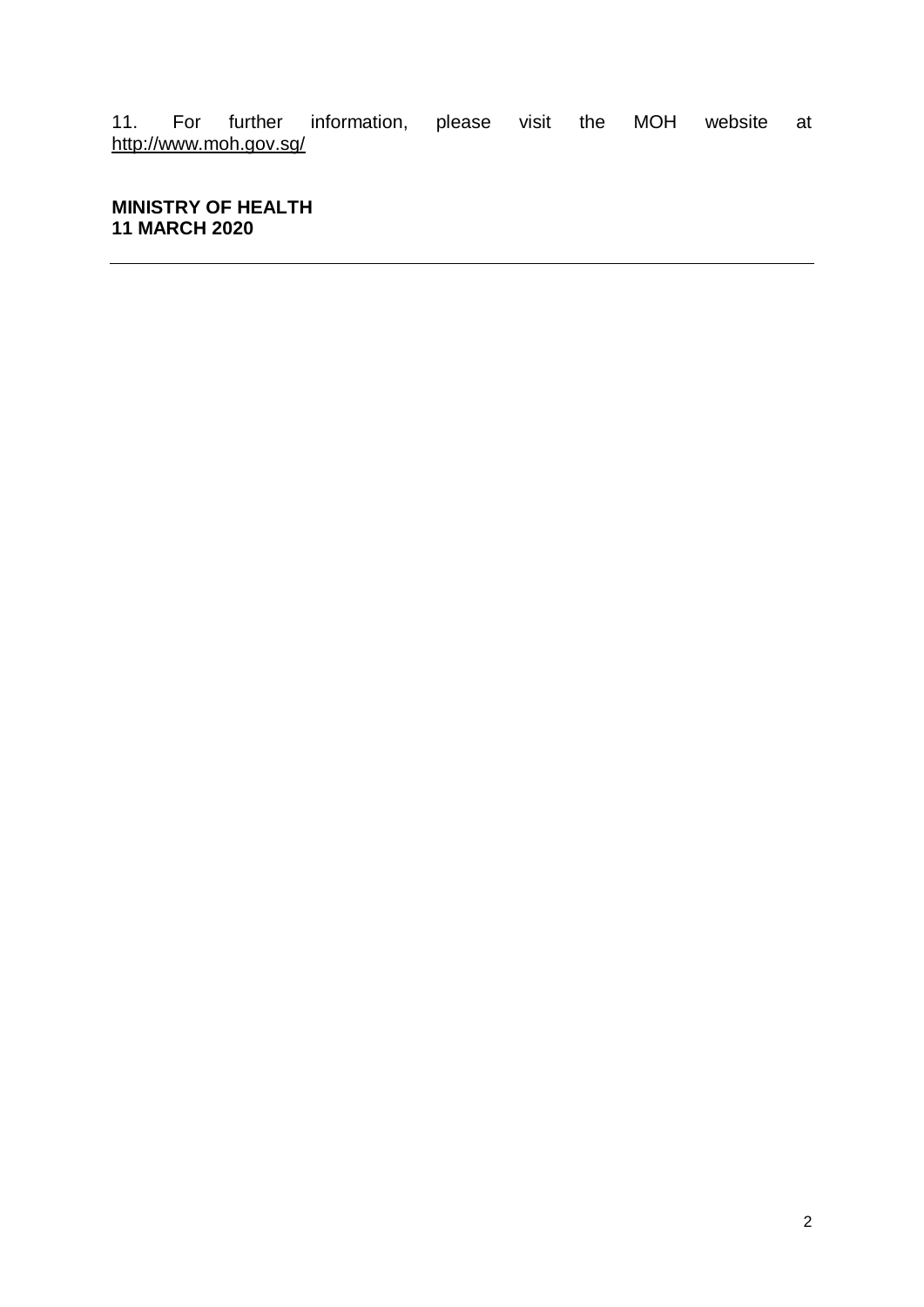11. For further information, please visit the MOH website at http://www.moh.gov.sg/

**MINISTRY OF HEALTH 11 MARCH 2020**